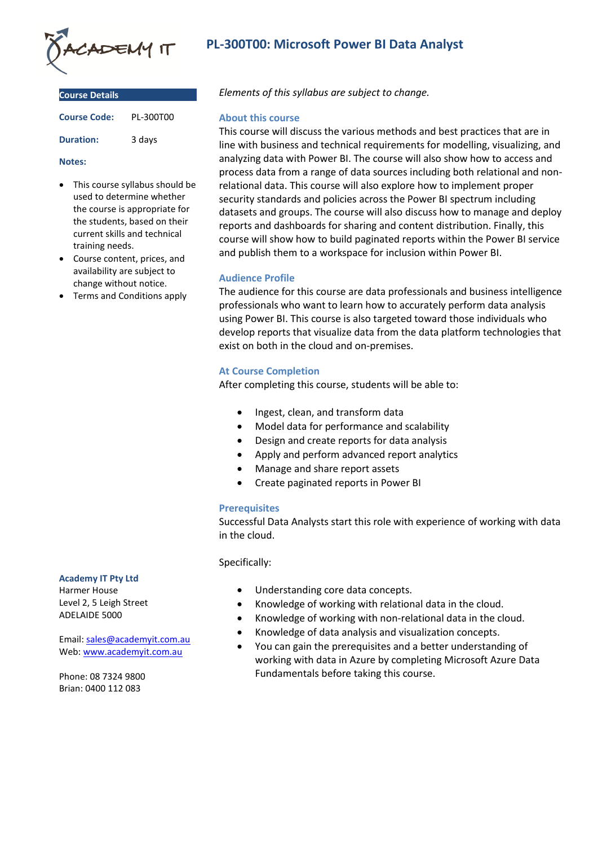

| <b>Course Details</b> |           |
|-----------------------|-----------|
| <b>Course Code:</b>   | PL-300T00 |
| <b>Duration:</b>      | 3 days    |

#### **Notes:**

- This course syllabus should be used to determine whether the course is appropriate for the students, based on their current skills and technical training needs.
- Course content, prices, and availability are subject to change without notice.
- Terms and Conditions apply

# **Academy IT Pty Ltd**

Harmer House Level 2, 5 Leigh Street ADELAIDE 5000

Email: [sales@academyit.com.au](mailto:sales@academyit.com.au) Web: [www.academyit.com.au](http://www.academyit.com.au/)

Phone: 08 7324 9800 Brian: 0400 112 083

# **PL-300T00: Microsoft Power BI Data Analyst**

*Elements of this syllabus are subject to change.*

#### **About this course**

This course will discuss the various methods and best practices that are in line with business and technical requirements for modelling, visualizing, and analyzing data with Power BI. The course will also show how to access and process data from a range of data sources including both relational and nonrelational data. This course will also explore how to implement proper security standards and policies across the Power BI spectrum including datasets and groups. The course will also discuss how to manage and deploy reports and dashboards for sharing and content distribution. Finally, this course will show how to build paginated reports within the Power BI service and publish them to a workspace for inclusion within Power BI.

## **Audience Profile**

The audience for this course are data professionals and business intelligence professionals who want to learn how to accurately perform data analysis using Power BI. This course is also targeted toward those individuals who develop reports that visualize data from the data platform technologies that exist on both in the cloud and on-premises.

## **At Course Completion**

After completing this course, students will be able to:

- Ingest, clean, and transform data
- Model data for performance and scalability
- Design and create reports for data analysis
- Apply and perform advanced report analytics
- Manage and share report assets
- Create paginated reports in Power BI

## **Prerequisites**

Successful Data Analysts start this role with experience of working with data in the cloud.

#### Specifically:

- Understanding core data concepts.
- Knowledge of working with relational data in the cloud.
- Knowledge of working with non-relational data in the cloud.
- Knowledge of data analysis and visualization concepts.
- You can gain the prerequisites and a better understanding of working with data in Azure by completing Microsoft Azure Data Fundamentals before taking this course.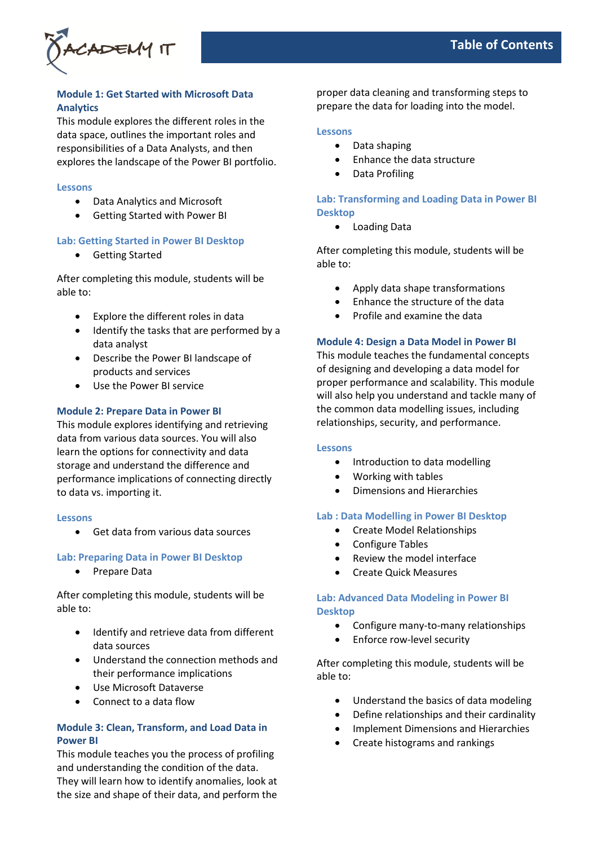

# **Module 1: Get Started with Microsoft Data Analytics**

This module explores the different roles in the data space, outlines the important roles and responsibilities of a Data Analysts, and then explores the landscape of the Power BI portfolio.

#### **Lessons**

- Data Analytics and Microsoft
- Getting Started with Power BI

# **Lab: Getting Started in Power BI Desktop**

• Getting Started

After completing this module, students will be able to:

- Explore the different roles in data
- Identify the tasks that are performed by a data analyst
- Describe the Power BI landscape of products and services
- Use the Power BI service

## **Module 2: Prepare Data in Power BI**

This module explores identifying and retrieving data from various data sources. You will also learn the options for connectivity and data storage and understand the difference and performance implications of connecting directly to data vs. importing it.

#### **Lessons**

• Get data from various data sources

## **Lab: Preparing Data in Power BI Desktop**

• Prepare Data

After completing this module, students will be able to:

- Identify and retrieve data from different data sources
- Understand the connection methods and their performance implications
- Use Microsoft Dataverse
- Connect to a data flow

# **Module 3: Clean, Transform, and Load Data in Power BI**

This module teaches you the process of profiling and understanding the condition of the data. They will learn how to identify anomalies, look at the size and shape of their data, and perform the

proper data cleaning and transforming steps to prepare the data for loading into the model.

## **Lessons**

- Data shaping
- Enhance the data structure
- Data Profiling

# **Lab: Transforming and Loading Data in Power BI Desktop**

• Loading Data

After completing this module, students will be able to:

- Apply data shape transformations
- Enhance the structure of the data
- Profile and examine the data

## **Module 4: Design a Data Model in Power BI**

This module teaches the fundamental concepts of designing and developing a data model for proper performance and scalability. This module will also help you understand and tackle many of the common data modelling issues, including relationships, security, and performance.

#### **Lessons**

- Introduction to data modelling
- Working with tables
- Dimensions and Hierarchies

#### **Lab : Data Modelling in Power BI Desktop**

- Create Model Relationships
- Configure Tables
- Review the model interface
- Create Quick Measures

## **Lab: Advanced Data Modeling in Power BI Desktop**

- Configure many-to-many relationships
- Enforce row-level security

After completing this module, students will be able to:

- Understand the basics of data modeling
- Define relationships and their cardinality
- Implement Dimensions and Hierarchies
- Create histograms and rankings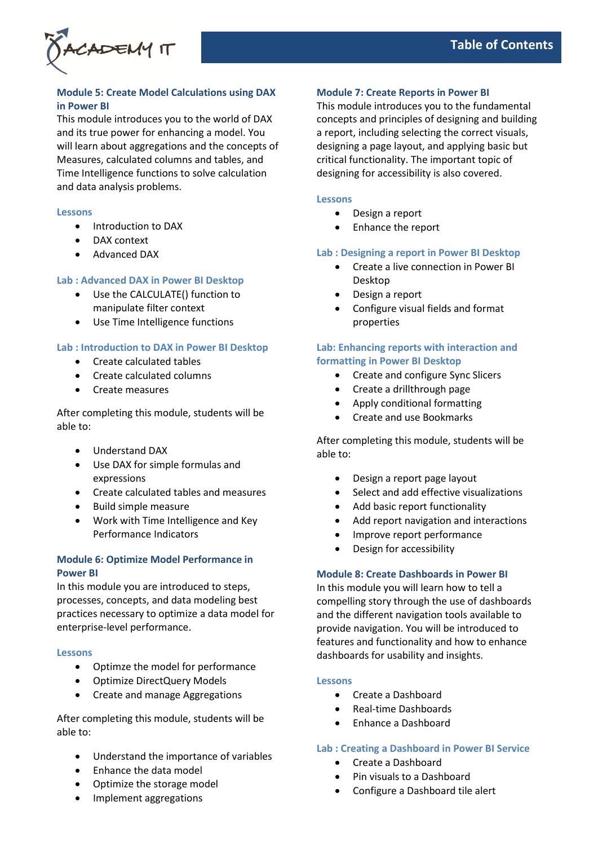

# **Module 5: Create Model Calculations using DAX in Power BI**

This module introduces you to the world of DAX and its true power for enhancing a model. You will learn about aggregations and the concepts of Measures, calculated columns and tables, and Time Intelligence functions to solve calculation and data analysis problems.

#### **Lessons**

- Introduction to DAX
- DAX context
- Advanced DAX

#### **Lab : Advanced DAX in Power BI Desktop**

- Use the CALCULATE() function to manipulate filter context
- Use Time Intelligence functions

## **Lab : Introduction to DAX in Power BI Desktop**

- Create calculated tables
- Create calculated columns
- Create measures

After completing this module, students will be able to:

- Understand DAX
- Use DAX for simple formulas and expressions
- Create calculated tables and measures
- Build simple measure
- Work with Time Intelligence and Key Performance Indicators

## **Module 6: Optimize Model Performance in Power BI**

In this module you are introduced to steps, processes, concepts, and data modeling best practices necessary to optimize a data model for enterprise-level performance.

#### **Lessons**

- Optimze the model for performance
- Optimize DirectQuery Models
- Create and manage Aggregations

After completing this module, students will be able to:

- Understand the importance of variables
- Enhance the data model
- Optimize the storage model
- Implement aggregations

## **Module 7: Create Reports in Power BI**

This module introduces you to the fundamental concepts and principles of designing and building a report, including selecting the correct visuals, designing a page layout, and applying basic but critical functionality. The important topic of designing for accessibility is also covered.

#### **Lessons**

- Design a report
- Enhance the report

## **Lab : Designing a report in Power BI Desktop**

- Create a live connection in Power BI Desktop
- Design a report
- Configure visual fields and format properties

# **Lab: Enhancing reports with interaction and formatting in Power BI Desktop**

- Create and configure Sync Slicers
- Create a drillthrough page
- Apply conditional formatting
- Create and use Bookmarks

After completing this module, students will be able to:

- Design a report page layout
- Select and add effective visualizations
- Add basic report functionality
- Add report navigation and interactions
- Improve report performance
- Design for accessibility

## **Module 8: Create Dashboards in Power BI**

In this module you will learn how to tell a compelling story through the use of dashboards and the different navigation tools available to provide navigation. You will be introduced to features and functionality and how to enhance dashboards for usability and insights.

#### **Lessons**

- Create a Dashboard
- Real-time Dashboards
- Enhance a Dashboard

#### **Lab : Creating a Dashboard in Power BI Service**

- Create a Dashboard
- Pin visuals to a Dashboard
- Configure a Dashboard tile alert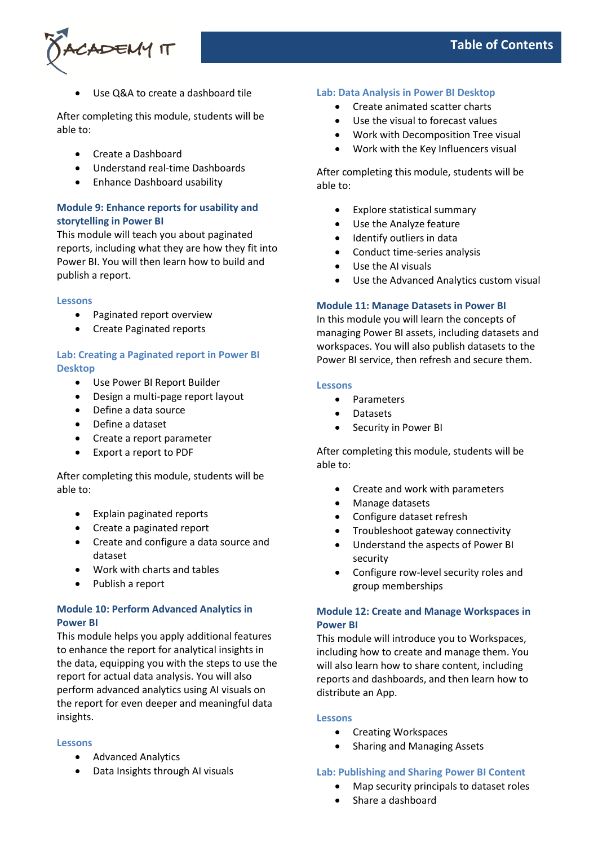

Use Q&A to create a dashboard tile

After completing this module, students will be able to:

- Create a Dashboard
- Understand real-time Dashboards
- Enhance Dashboard usability

# **Module 9: Enhance reports for usability and storytelling in Power BI**

This module will teach you about paginated reports, including what they are how they fit into Power BI. You will then learn how to build and publish a report.

#### **Lessons**

- Paginated report overview
- Create Paginated reports

## **Lab: Creating a Paginated report in Power BI Desktop**

- Use Power BI Report Builder
- Design a multi-page report layout
- Define a data source
- Define a dataset
- Create a report parameter
- Export a report to PDF

After completing this module, students will be able to:

- Explain paginated reports
- Create a paginated report
- Create and configure a data source and dataset
- Work with charts and tables
- Publish a report

# **Module 10: Perform Advanced Analytics in Power BI**

This module helps you apply additional features to enhance the report for analytical insights in the data, equipping you with the steps to use the report for actual data analysis. You will also perform advanced analytics using AI visuals on the report for even deeper and meaningful data insights.

#### **Lessons**

- Advanced Analytics
- Data Insights through AI visuals

# **Lab: Data Analysis in Power BI Desktop**

- Create animated scatter charts
- Use the visual to forecast values
- Work with Decomposition Tree visual
- Work with the Key Influencers visual

After completing this module, students will be able to:

- Explore statistical summary
- Use the Analyze feature
- Identify outliers in data
- Conduct time-series analysis
- Use the AI visuals
- Use the Advanced Analytics custom visual

## **Module 11: Manage Datasets in Power BI**

In this module you will learn the concepts of managing Power BI assets, including datasets and workspaces. You will also publish datasets to the Power BI service, then refresh and secure them.

## **Lessons**

- Parameters
- Datasets
- Security in Power BI

After completing this module, students will be able to:

- Create and work with parameters
- Manage datasets
- Configure dataset refresh
- Troubleshoot gateway connectivity
- Understand the aspects of Power BI security
- Configure row-level security roles and group memberships

# **Module 12: Create and Manage Workspaces in Power BI**

This module will introduce you to Workspaces, including how to create and manage them. You will also learn how to share content, including reports and dashboards, and then learn how to distribute an App.

#### **Lessons**

- Creating Workspaces
- Sharing and Managing Assets

## **Lab: Publishing and Sharing Power BI Content**

- Map security principals to dataset roles
- Share a dashboard